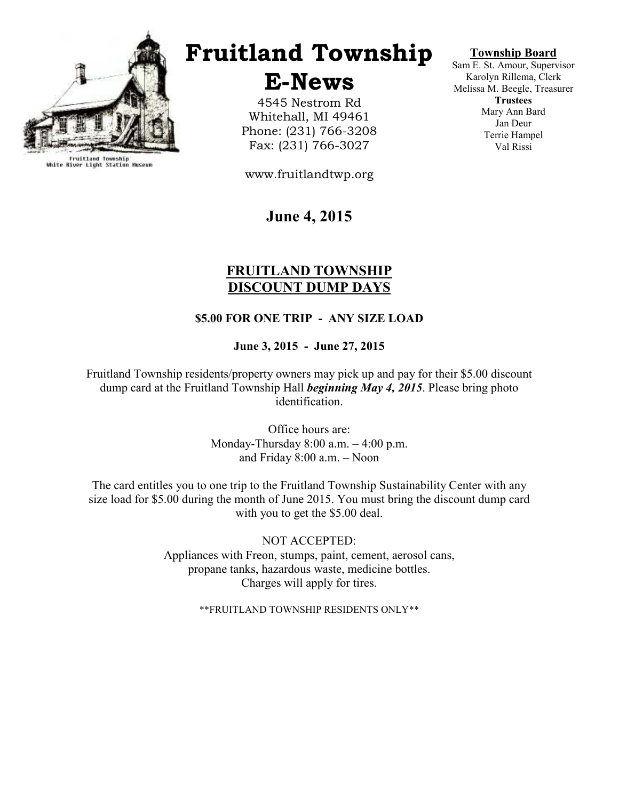

Fruitland Township<br>White River Light Station Museum

# Fruitland Township

E-News

4545 Nestrom Rd Whitehall, MI 49461 Phone: (231) 766-3208 Fax: (231) 766-3027

www.fruitlandtwp.org

# June 4, 2015

## FRUITLAND TOWNSHIP DISCOUNT DUMP DAYS

#### \$5.00 FOR ONE TRIP - ANY SIZE LOAD

#### June 3, 2015 - June 27, 2015

Fruitland Township residents/property owners may pick up and pay for their \$5.00 discount dump card at the Fruitland Township Hall *beginning May 4, 2015*. Please bring photo identification.

> Office hours are: Monday-Thursday 8:00 a.m. – 4:00 p.m. and Friday 8:00 a.m. – Noon

The card entitles you to one trip to the Fruitland Township Sustainability Center with any size load for \$5.00 during the month of June 2015. You must bring the discount dump card with you to get the \$5.00 deal.

> NOT ACCEPTED: Appliances with Freon, stumps, paint, cement, aerosol cans, propane tanks, hazardous waste, medicine bottles. Charges will apply for tires.

> > \*\*FRUITLAND TOWNSHIP RESIDENTS ONLY\*\*

#### Township Board

Sam E. St. Amour, Supervisor Karolyn Rillema, Clerk Melissa M. Beegle, Treasurer **Trustees** Mary Ann Bard Jan Deur Terrie Hampel Val Rissi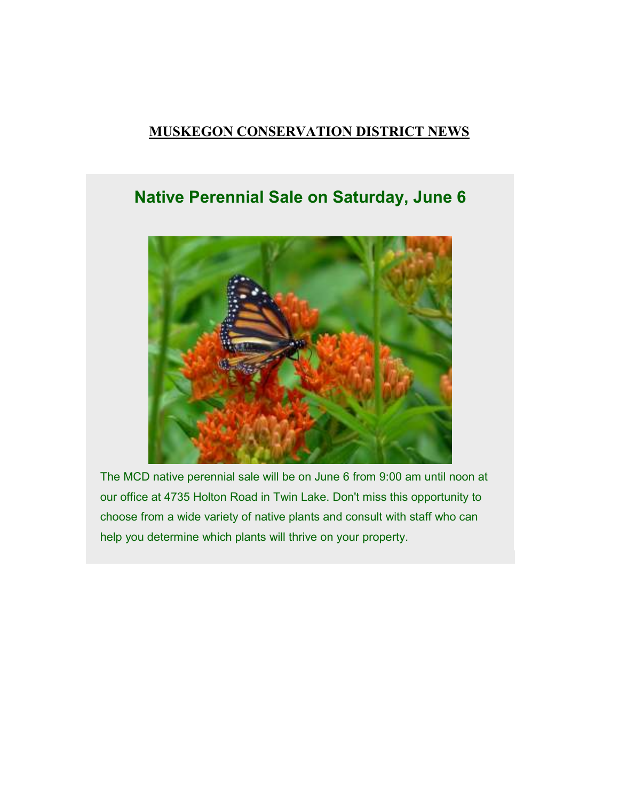## MUSKEGON CONSERVATION DISTRICT NEWS

# Native Perennial Sale on Saturday, June 6



The MCD native perennial sale will be on June 6 from 9:00 am until noon at our office at 4735 Holton Road in Twin Lake. Don't miss this opportunity to choose from a wide variety of native plants and consult with staff who can help you determine which plants will thrive on your property.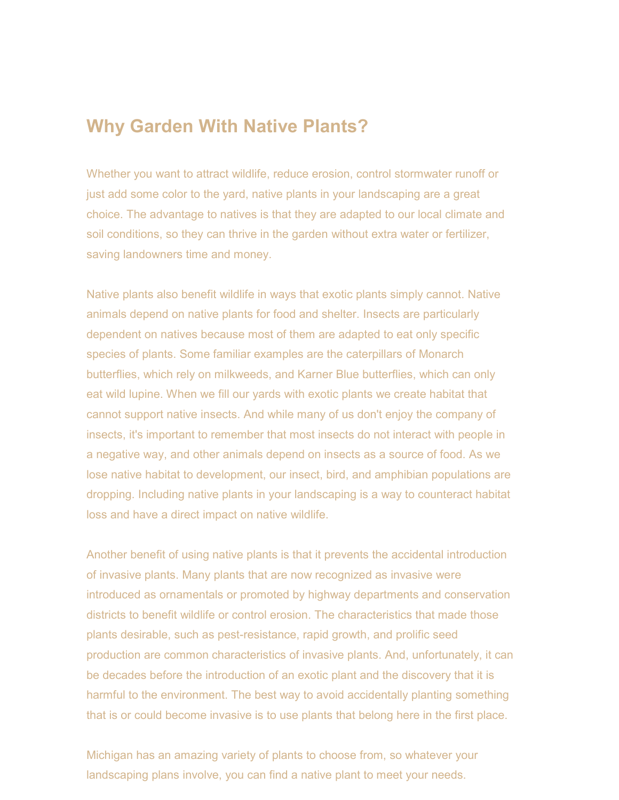# Why Garden With Native Plants?

Whether you want to attract wildlife, reduce erosion, control stormwater runoff or just add some color to the yard, native plants in your landscaping are a great choice. The advantage to natives is that they are adapted to our local climate and soil conditions, so they can thrive in the garden without extra water or fertilizer, saving landowners time and money.

Native plants also benefit wildlife in ways that exotic plants simply cannot. Native animals depend on native plants for food and shelter. Insects are particularly dependent on natives because most of them are adapted to eat only specific species of plants. Some familiar examples are the caterpillars of Monarch butterflies, which rely on milkweeds, and Karner Blue butterflies, which can only eat wild lupine. When we fill our yards with exotic plants we create habitat that cannot support native insects. And while many of us don't enjoy the company of insects, it's important to remember that most insects do not interact with people in a negative way, and other animals depend on insects as a source of food. As we lose native habitat to development, our insect, bird, and amphibian populations are dropping. Including native plants in your landscaping is a way to counteract habitat loss and have a direct impact on native wildlife.

Another benefit of using native plants is that it prevents the accidental introduction of invasive plants. Many plants that are now recognized as invasive were introduced as ornamentals or promoted by highway departments and conservation districts to benefit wildlife or control erosion. The characteristics that made those plants desirable, such as pest-resistance, rapid growth, and prolific seed production are common characteristics of invasive plants. And, unfortunately, it can be decades before the introduction of an exotic plant and the discovery that it is harmful to the environment. The best way to avoid accidentally planting something that is or could become invasive is to use plants that belong here in the first place.

Michigan has an amazing variety of plants to choose from, so whatever your landscaping plans involve, you can find a native plant to meet your needs.